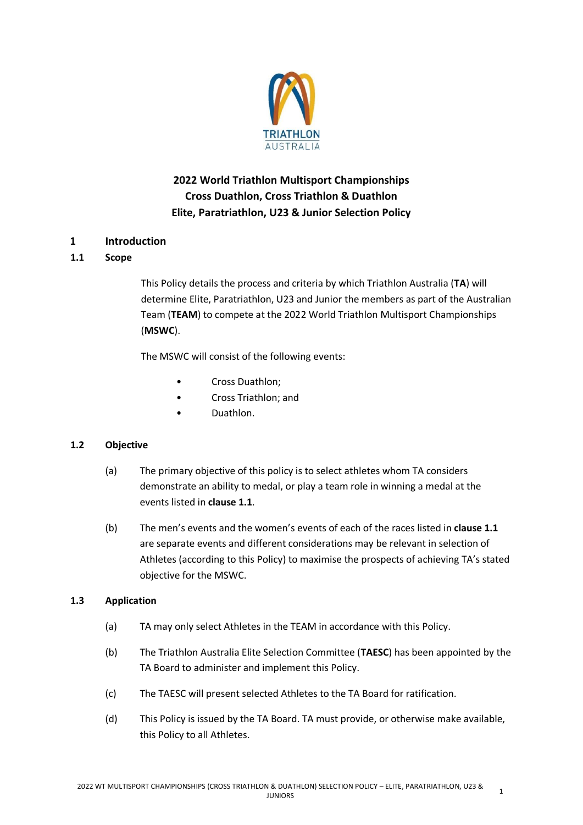

# **2022 World Triathlon Multisport Championships Cross Duathlon, Cross Triathlon & Duathlon Elite, Paratriathlon, U23 & Junior Selection Policy**

# **1 Introduction**

# **1.1 Scope**

This Policy details the process and criteria by which Triathlon Australia (**TA**) will determine Elite, Paratriathlon, U23 and Junior the members as part of the Australian Team (**TEAM**) to compete at the 2022 World Triathlon Multisport Championships (**MSWC**).

The MSWC will consist of the following events:

- Cross Duathlon;
- Cross Triathlon; and
- Duathlon.

## **1.2 Objective**

- (a) The primary objective of this policy is to select athletes whom TA considers demonstrate an ability to medal, or play a team role in winning a medal at the events listed in **clause 1.1**.
- (b) The men's events and the women's events of each of the races listed in **clause 1.1** are separate events and different considerations may be relevant in selection of Athletes (according to this Policy) to maximise the prospects of achieving TA's stated objective for the MSWC.

## **1.3 Application**

- (a) TA may only select Athletes in the TEAM in accordance with this Policy.
- (b) The Triathlon Australia Elite Selection Committee (**TAESC**) has been appointed by the TA Board to administer and implement this Policy.
- (c) The TAESC will present selected Athletes to the TA Board for ratification.
- (d) This Policy is issued by the TA Board. TA must provide, or otherwise make available, this Policy to all Athletes.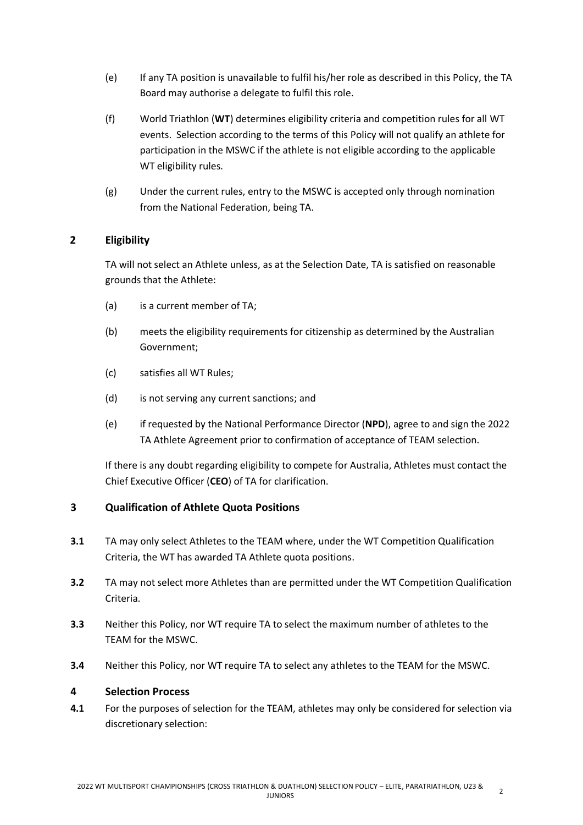- (e) If any TA position is unavailable to fulfil his/her role as described in this Policy, the TA Board may authorise a delegate to fulfil this role.
- (f) World Triathlon (**WT**) determines eligibility criteria and competition rules for all WT events. Selection according to the terms of this Policy will not qualify an athlete for participation in the MSWC if the athlete is not eligible according to the applicable WT eligibility rules.
- (g) Under the current rules, entry to the MSWC is accepted only through nomination from the National Federation, being TA.

# **2 Eligibility**

TA will not select an Athlete unless, as at the Selection Date, TA is satisfied on reasonable grounds that the Athlete:

- (a) is a current member of TA;
- (b) meets the eligibility requirements for citizenship as determined by the Australian Government;
- (c) satisfies all WT Rules;
- (d) is not serving any current sanctions; and
- (e) if requested by the National Performance Director (**NPD**), agree to and sign the 2022 TA Athlete Agreement prior to confirmation of acceptance of TEAM selection.

If there is any doubt regarding eligibility to compete for Australia, Athletes must contact the Chief Executive Officer (**CEO**) of TA for clarification.

# **3 Qualification of Athlete Quota Positions**

- **3.1** TA may only select Athletes to the TEAM where, under the WT Competition Qualification Criteria, the WT has awarded TA Athlete quota positions.
- **3.2** TA may not select more Athletes than are permitted under the WT Competition Qualification Criteria.
- **3.3** Neither this Policy, nor WT require TA to select the maximum number of athletes to the TEAM for the MSWC.
- **3.4** Neither this Policy, nor WT require TA to select any athletes to the TEAM for the MSWC.

## **4 Selection Process**

**4.1** For the purposes of selection for the TEAM, athletes may only be considered for selection via discretionary selection: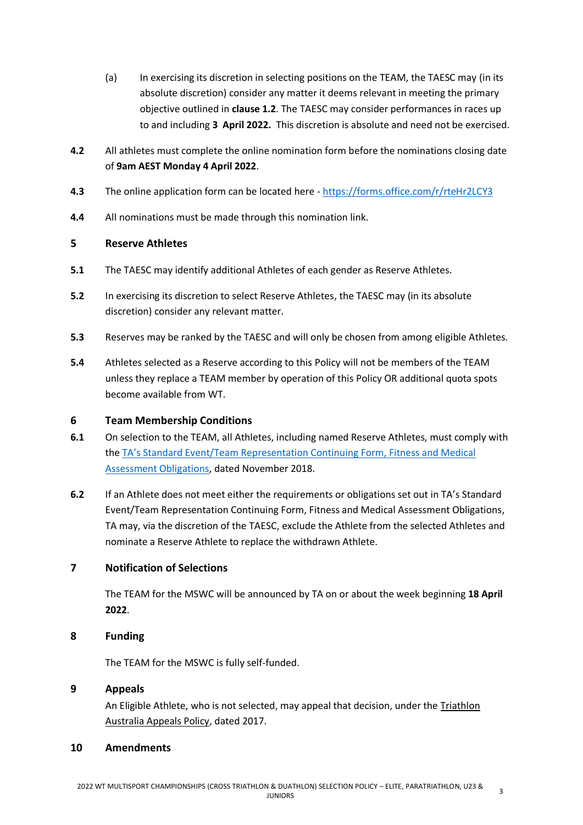- (a) In exercising its discretion in selecting positions on the TEAM, the TAESC may (in its absolute discretion) consider any matter it deems relevant in meeting the primary objective outlined in **clause 1.2**. The TAESC may consider performances in races up to and including **3 April 2022.** This discretion is absolute and need not be exercised.
- **4.2** All athletes must complete the online nomination form before the nominations closing date of **9am AEST Monday 4 April 2022**.
- **4.3** The online application form can be located here <https://forms.office.com/r/rteHr2LCY3>
- **4.4** All nominations must be made through this nomination link.

## **5 Reserve Athletes**

- **5.1** The TAESC may identify additional Athletes of each gender as Reserve Athletes.
- **5.2** In exercising its discretion to select Reserve Athletes, the TAESC may (in its absolute discretion) consider any relevant matter.
- **5.3** Reserves may be ranked by the TAESC and will only be chosen from among eligible Athletes.
- **5.4** Athletes selected as a Reserve according to this Policy will not be members of the TEAM unless they replace a TEAM member by operation of this Policy OR additional quota spots become available from WT.

## **6 Team Membership Conditions**

- **6.1** On selection to the TEAM, all Athletes, including named Reserve Athletes, must comply with the TA's Standard [Event/Team Representation Continuing Form, Fitness and Medical](http://www.triathlon.org.au/Assets/Triathlon+Australia+Digital+Assets/Athlete+Fitness+and+Medical+Obligations.pdf)  [Assessment Obligations,](http://www.triathlon.org.au/Assets/Triathlon+Australia+Digital+Assets/Athlete+Fitness+and+Medical+Obligations.pdf) dated November 2018.
- **6.2** If an Athlete does not meet either the requirements or obligations set out in TA's Standard Event/Team Representation Continuing Form, Fitness and Medical Assessment Obligations, TA may, via the discretion of the TAESC, exclude the Athlete from the selected Athletes and nominate a Reserve Athlete to replace the withdrawn Athlete.

## **7 Notification of Selections**

The TEAM for the MSWC will be announced by TA on or about the week beginning **18 April 2022**.

#### **8 Funding**

The TEAM for the MSWC is fully self-funded.

#### **9 Appeals**

An Eligible Athlete, who is not selected, may appeal that decision, under the [Tr](http://www.triathlon.org.au/Assets/Triathlon+Australia+Digital+Assets/2017+Triathlon+Australia+Appeals+Policy.pdf)iathlon Australia Appeals Policy, dated 2017.

#### **10 Amendments**